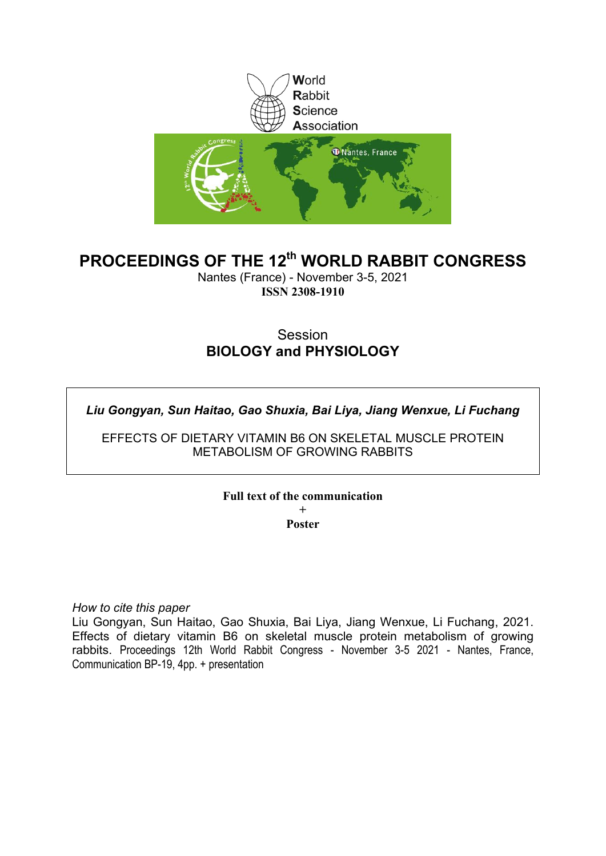

# **PROCEEDINGS OF THE 12th WORLD RABBIT CONGRESS**

Nantes (France) - November 3-5, 2021 **ISSN 2308-1910**

## **Session BIOLOGY and PHYSIOLOGY**

*Liu Gongyan, Sun Haitao, Gao Shuxia, Bai Liya, Jiang Wenxue, Li Fuchang*

EFFECTS OF DIETARY VITAMIN B6 ON SKELETAL MUSCLE PROTEIN METABOLISM OF GROWING RABBITS

**Full text of the communication** 

**+ Poster**

*How to cite this paper*

Liu Gongyan, Sun Haitao, Gao Shuxia, Bai Liya, Jiang Wenxue, Li Fuchang, 2021. Effects of dietary vitamin B6 on skeletal muscle protein metabolism of growing rabbits. Proceedings 12th World Rabbit Congress - November 3-5 2021 - Nantes, France, Communication BP-19, 4pp. + presentation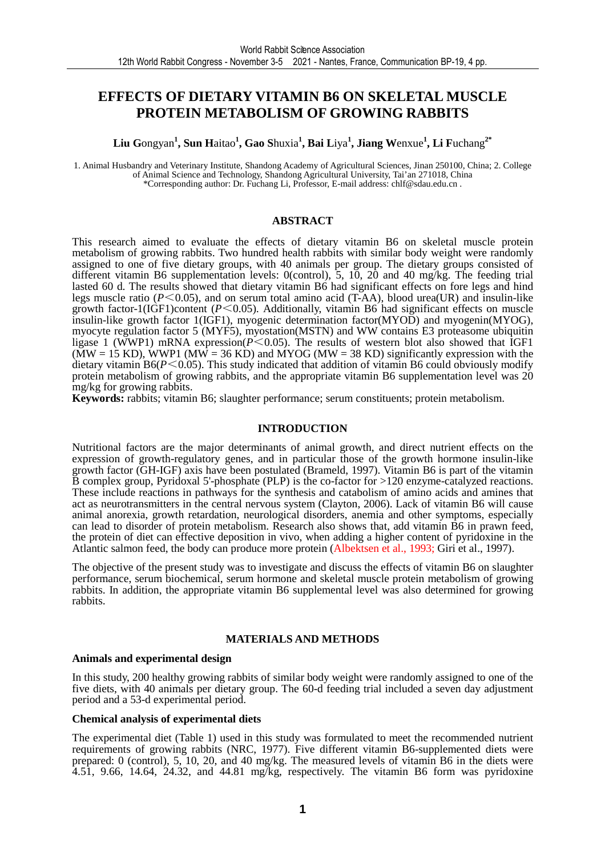## **EFFECTS OF DIETARY VITAMIN B6 ON SKELETAL MUSCLE PROTEIN METABOLISM OF GROWING RABBITS**

**Liu G**ongyan**<sup>1</sup> , Sun H**aitao**<sup>1</sup> , Gao S**huxia**<sup>1</sup> , Bai L**iya**<sup>1</sup> , Jiang W**enxue**<sup>1</sup> , Li F**uchang**2\*** 

1. Animal Husbandry and Veterinary Institute, Shandong Academy of Agricultural Sciences, Jinan 250100, China; 2. College of Animal Science and Technology, Shandong Agricultural University, Tai'an 271018, China \*Corresponding author: Dr. Fuchang Li, Professor, E-mail address: chlf@sdau.edu.cn .

#### **ABSTRACT**

This research aimed to evaluate the effects of dietary vitamin B6 on skeletal muscle protein metabolism of growing rabbits. Two hundred health rabbits with similar body weight were randomly assigned to one of five dietary groups, with 40 animals per group. The dietary groups consisted of different vitamin B6 supplementation levels: 0(control), 5, 10, 20 and 40 mg/kg. The feeding trial lasted 60 d. The results showed that dietary vitamin B6 had significant effects on fore legs and hind legs muscle ratio (*P*<0.05), and on serum total amino acid (T-AA), blood urea(UR) and insulin-like growth factor-1(IGF1)content (*P*<0.05). Additionally, vitamin B6 had significant effects on muscle insulin-like growth factor 1(IGF1), myogenic determination factor(MYOD) and myogenin(MYOG), myocyte regulation factor 5 (MYF5), myostation(MSTN) and WW contains E3 proteasome ubiquitin ligase 1 (WWP1) mRNA expression( $P \le 0.05$ ). The results of western blot also showed that IGF1  $(MW = 15 KD)$ , WWP1  $(MW = 36 KD)$  and MYOG (MW = 38 KD) significantly expression with the dietary vitamin B6(*P*<0.05). This study indicated that addition of vitamin B6 could obviously modify protein metabolism of growing rabbits, and the appropriate vitamin B6 supplementation level was 20 mg/kg for growing rabbits.

**Keywords:** rabbits; vitamin B6; slaughter performance; serum constituents; protein metabolism.

#### **INTRODUCTION**

Nutritional factors are the major determinants of animal growth, and direct nutrient effects on the expression of growth-regulatory genes, and in particular those of the growth hormone insulin-like growth factor (GH-IGF) axis have been postulated (Brameld, 1997). Vitamin B6 is part of the vitamin  $\bar{B}$  complex group, Pyridoxal 5'-phosphate (PLP) is the co-factor for  $>120$  enzyme-catalyzed reactions. These include reactions in pathways for the synthesis and catabolism of amino acids and amines that act as neurotransmitters in the central nervous system (Clayton, 2006). Lack of vitamin B6 will cause animal anorexia, growth retardation, neurological disorders, anemia and other symptoms, especially can lead to disorder of protein metabolism. Research also shows that, add vitamin B6 in prawn feed, the protein of diet can effective deposition in vivo, when adding a higher content of pyridoxine in the Atlantic salmon feed, the body can produce more protein (Albektsen et al., 1993; Giri et al., 1997).

The objective of the present study was to investigate and discuss the effects of vitamin B6 on slaughter performance, serum biochemical, serum hormone and skeletal muscle protein metabolism of growing rabbits. In addition, the appropriate vitamin B6 supplemental level was also determined for growing rabbits.

#### **MATERIALS AND METHODS**

#### **Animals and experimental design**

In this study, 200 healthy growing rabbits of similar body weight were randomly assigned to one of the five diets, with 40 animals per dietary group. The 60-d feeding trial included a seven day adjustment period and a 53-d experimental period.

#### **Chemical analysis of experimental diets**

The experimental diet (Table 1) used in this study was formulated to meet the recommended nutrient requirements of growing rabbits (NRC, 1977). Five different vitamin B6-supplemented diets were prepared: 0 (control), 5, 10, 20, and 40 mg/kg. The measured levels of vitamin B6 in the diets were 4.51, 9.66, 14.64, 24.32, and 44.81 mg/kg, respectively. The vitamin B6 form was pyridoxine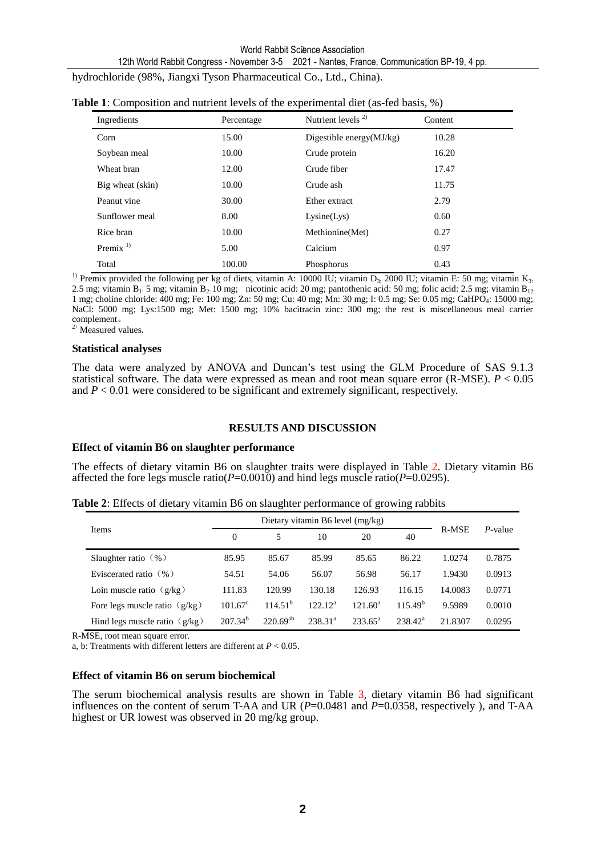12th World Rabbit Congress - November 3-5 2021 - Nantes, France, Communication BP-19, 4 pp.

hydrochloride (98%, Jiangxi Tyson Pharmaceutical Co., Ltd., China).

| Ingredients      | Percentage | Nutrient levels $2$         | Content |  |
|------------------|------------|-----------------------------|---------|--|
| Corn             | 15.00      | Digestible energy $(MJ/kg)$ | 10.28   |  |
| Soybean meal     | 10.00      | Crude protein               | 16.20   |  |
| Wheat bran       | 12.00      | Crude fiber                 | 17.47   |  |
| Big wheat (skin) | 10.00      | Crude ash                   | 11.75   |  |
| Peanut vine      | 30.00      | Ether extract               | 2.79    |  |
| Sunflower meal   | 8.00       | Lysine(Lys)                 | 0.60    |  |
| Rice bran        | 10.00      | Methionine(Met)             | 0.27    |  |
| Premix $1$       | 5.00       | Calcium                     | 0.97    |  |
| Total            | 100.00     | Phosphorus                  | 0.43    |  |

|  |  |  |  |  | <b>Table 1:</b> Composition and nutrient levels of the experimental diet (as-fed basis, %) |
|--|--|--|--|--|--------------------------------------------------------------------------------------------|
|--|--|--|--|--|--------------------------------------------------------------------------------------------|

<sup>1)</sup> Premix provided the following per kg of diets, vitamin A: 10000 IU; vitamin D<sub>3:</sub> 2000 IU; vitamin E: 50 mg; vitamin K<sub>3:</sub> 2.5 mg; vitamin B<sub>1:</sub> 5 mg; vitamin B<sub>2:</sub> 10 mg; nicotinic acid: 20 mg; pantothenic acid: 50 mg; folic acid: 2.5 mg; vitamin B<sub>12:</sub> 1 mg; choline chloride: 400 mg; Fe: 100 mg; Zn: 50 mg; Cu: 40 mg; Mn: 30 mg; I: 0.5 mg; Se: 0.05 mg; CaHPO<sup>4</sup> : 15000 mg; NaCl: 5000 mg; Lys:1500 mg; Met: 1500 mg; 10% bacitracin zinc: 300 mg; the rest is miscellaneous meal carrier complement。

 $^{2)}$  Measured values.

#### **Statistical analyses**

The data were analyzed by ANOVA and Duncan's test using the GLM Procedure of SAS 9.1.3 statistical software. The data were expressed as mean and root mean square error (R-MSE). *P* < 0.05 and  $P < 0.01$  were considered to be significant and extremely significant, respectively.

#### **RESULTS AND DISCUSSION**

#### **Effect of vitamin B6 on slaughter performance**

The effects of dietary vitamin B6 on slaughter traits were displayed in Table 2. Dietary vitamin B6 affected the fore legs muscle ratio( $P=0.0010$ ) and hind legs muscle ratio( $P=0.0295$ ).

|  |  |  | Table 2: Effects of dietary vitamin B6 on slaughter performance of growing rabbits |  |  |
|--|--|--|------------------------------------------------------------------------------------|--|--|
|  |  |  |                                                                                    |  |  |

|                                 |                  | Dietary vitamin B6 level $(mg/kg)$ |                     |                  |              |         |         |
|---------------------------------|------------------|------------------------------------|---------------------|------------------|--------------|---------|---------|
| Items                           | $\Omega$         | 5                                  | 10                  | 20               | 40           | R-MSE   | P-value |
| Slaughter ratio $(\% )$         | 85.95            | 85.67                              | 85.99               | 85.65            | 86.22        | 1.0274  | 0.7875  |
| Eviscerated ratio $(\% )$       | 54.51            | 54.06                              | 56.07               | 56.98            | 56.17        | 1.9430  | 0.0913  |
| Loin muscle ratio $(g/kg)$      | 111.83           | 120.99                             | 130.18              | 126.93           | 116.15       | 14.0083 | 0.0771  |
| Fore legs muscle ratio $(g/kg)$ | $101.67^{\circ}$ | $114.51^{b}$                       | $122.12^a$          | $121.60^a$       | $115.49^{b}$ | 9.5989  | 0.0010  |
| Hind legs muscle ratio $(g/kg)$ | $207.34^{b}$     | $220.69^{ab}$                      | 238.31 <sup>a</sup> | $233.65^{\circ}$ | $238.42^a$   | 21.8307 | 0.0295  |

R-MSE, root mean square error.

a, b: Treatments with different letters are different at *P* < 0.05.

#### **Effect of vitamin B6 on serum biochemical**

The serum biochemical analysis results are shown in Table 3, dietary vitamin B6 had significant influences on the content of serum T-AA and UR ( $P=0.0481$  and  $P=0.0358$ , respectively), and T-AA highest or UR lowest was observed in 20 mg/kg group.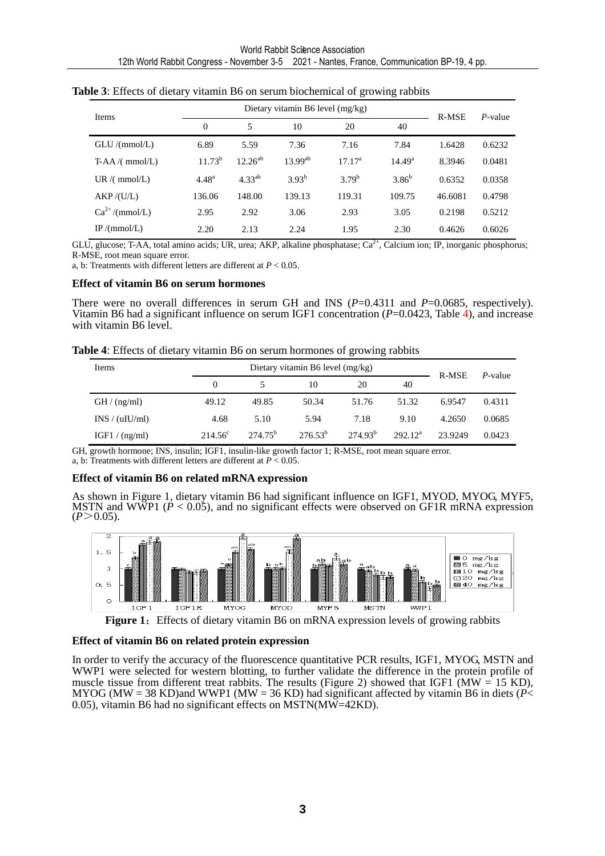| Items              |             | Dietary vitamin B6 level (mg/kg) | R-MSE        | $P$ -value         |                    |         |        |
|--------------------|-------------|----------------------------------|--------------|--------------------|--------------------|---------|--------|
|                    | $\Omega$    | 5                                | 10           | 20                 | 40                 |         |        |
| GLU/(mmol/L)       | 6.89        | 5.59                             | 7.36         | 7.16               | 7.84               | 1.6428  | 0.6232 |
| $T-AA/(mmol/L)$    | $11.73^{b}$ | $12.26^{ab}$                     | $13.99^{ab}$ | 17.17 <sup>a</sup> | 14.49 <sup>a</sup> | 8.3946  | 0.0481 |
| UR /( $mmol/L$ )   | $4.48^{a}$  | $4.33^{ab}$                      | $3.93^{b}$   | $3.79^{b}$         | $3.86^{b}$         | 0.6352  | 0.0358 |
| AKP / (U/L)        | 136.06      | 148.00                           | 139.13       | 119.31             | 109.75             | 46.6081 | 0.4798 |
| $Ca^{2+}/(mmol/L)$ | 2.95        | 2.92                             | 3.06         | 2.93               | 3.05               | 0.2198  | 0.5212 |
| IP/(mmol/L)        | 2.20        | 2.13                             | 2.24         | 1.95               | 2.30               | 0.4626  | 0.6026 |

|  |  |  |  |  |  |  |  | Table 3: Effects of dietary vitamin B6 on serum biochemical of growing rabbits |
|--|--|--|--|--|--|--|--|--------------------------------------------------------------------------------|
|--|--|--|--|--|--|--|--|--------------------------------------------------------------------------------|

GLU, glucose; T-AA, total amino acids; UR, urea; AKP, alkaline phosphatase;  $Ca<sup>2+</sup>$ , Calcium ion; IP, inorganic phosphorus; R-MSE, root mean square error.

a, b: Treatments with different letters are different at *P* < 0.05.

#### **Effect of vitamin B6 on serum hormones**

There were no overall differences in serum GH and INS ( $P=0.4311$  and  $P=0.0685$ , respectively). Vitamin B6 had a significant influence on serum IGF1 concentration (*P*=0.0423, Table 4), and increase with vitamin B6 level.

**Table 4**: Effects of dietary vitamin B6 on serum hormones of growing rabbits

| Items          |                  | <b>R-MSE</b>     | P-value      |              |            |         |        |
|----------------|------------------|------------------|--------------|--------------|------------|---------|--------|
|                | 0                |                  | 10           | 20           | 40         |         |        |
| GH / (ng/ml)   | 49.12            | 49.85            | 50.34        | 51.76        | 51.32      | 6.9547  | 0.4311 |
| INS / (uIU/ml) | 4.68             | 5.10             | 5.94         | 7.18         | 9.10       | 4.2650  | 0.0685 |
| IGF1 / (ng/ml) | $214.56^{\circ}$ | $274.75^{\circ}$ | $276.53^{b}$ | $274.93^{b}$ | $292.12^a$ | 23.9249 | 0.0423 |

GH, growth hormone; INS, insulin; IGF1, insulin-like growth factor 1; R-MSE, root mean square error. a, b: Treatments with different letters are different at *P* < 0.05.

#### **Effect of vitamin B6 on related mRNA expression**

As shown in Figure 1, dietary vitamin B6 had significant influence on IGF1, MYOD, MYOG, MYF5, MSTN and WWP1 (*P* < 0.05), and no significant effects were observed on GF1R mRNA expression  $(P > 0.05)$ .



**Figure 1:** Effects of dietary vitamin B6 on mRNA expression levels of growing rabbits

#### **Effect of vitamin B6 on related protein expression**

In order to verify the accuracy of the fluorescence quantitative PCR results, IGF1, MYOG, MSTN and WWP1 were selected for western blotting, to further validate the difference in the protein profile of muscle tissue from different treat rabbits. The results (Figure 2) showed that IGF1 ( $MW = 15$  KD), MYOG (MW = 38 KD)and WWP1 (MW = 36 KD) had significant affected by vitamin B6 in diets ( $P$  < 0.05), vitamin B6 had no significant effects on MSTN(MW=42KD).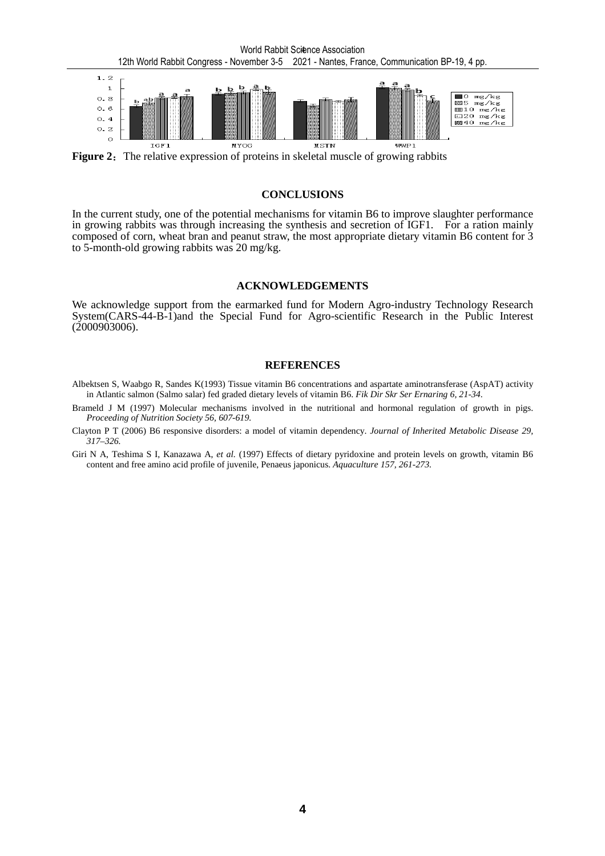

**Figure 2:** The relative expression of proteins in skeletal muscle of growing rabbits

#### **CONCLUSIONS**

In the current study, one of the potential mechanisms for vitamin B6 to improve slaughter performance in growing rabbits was through increasing the synthesis and secretion of IGF1. For a ration mainly composed of corn, wheat bran and peanut straw, the most appropriate dietary vitamin B6 content for 3 to 5-month-old growing rabbits was 20 mg/kg.

#### **ACKNOWLEDGEMENTS**

We acknowledge support from the earmarked fund for Modern Agro-industry Technology Research System(CARS-44-B-1)and the Special Fund for Agro-scientific Research in the Public Interest (2000903006).

#### **REFERENCES**

- Albektsen S, Waabgo R, Sandes K(1993) Tissue vitamin B6 concentrations and aspartate aminotransferase (AspAT) activity in Atlantic salmon (Salmo salar) fed graded dietary levels of vitamin B6. *Fik Dir Skr Ser Ernaring 6, 21-34*.
- Brameld J M (1997) Molecular mechanisms involved in the nutritional and hormonal regulation of growth in pigs. *Proceeding of Nutrition Society 56, 607-619.*
- Clayton P T (2006) B6 responsive disorders: a model of vitamin dependency. *Journal of Inherited Metabolic Disease 29, 317–326.*
- Giri N A, Teshima S I, Kanazawa A, *et al.* (1997) Effects of dietary pyridoxine and protein levels on growth, vitamin B6 content and free amino acid profile of juvenile, Penaeus japonicus. *Aquaculture 157, 261-273.*